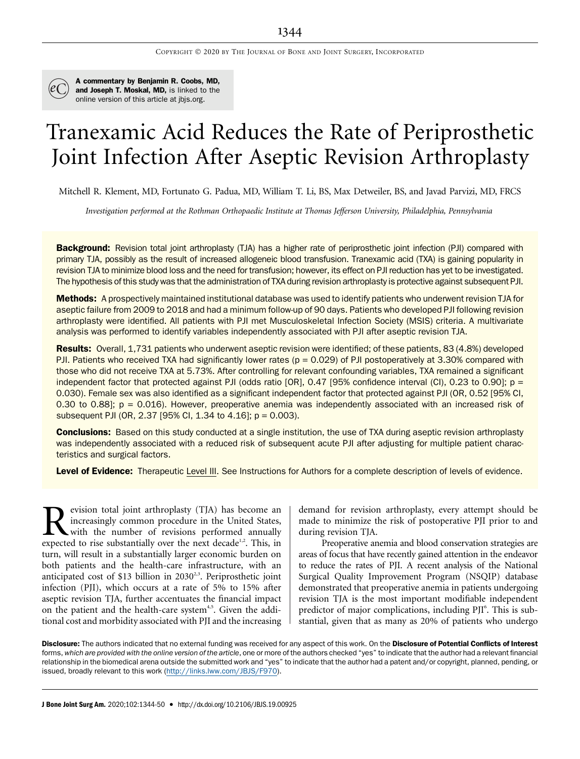

A commentary by Benjamin R. Coobs, MD, and Joseph T. Moskal, MD, is linked to the online version of this article at [jbjs.org](http://jbjs.org).

# Tranexamic Acid Reduces the Rate of Periprosthetic Joint Infection After Aseptic Revision Arthroplasty

Mitchell R. Klement, MD, Fortunato G. Padua, MD, William T. Li, BS, Max Detweiler, BS, and Javad Parvizi, MD, FRCS

Investigation performed at the Rothman Orthopaedic Institute at Thomas Jefferson University, Philadelphia, Pennsylvania

Background: Revision total joint arthroplasty (TJA) has a higher rate of periprosthetic joint infection (PJI) compared with primary TJA, possibly as the result of increased allogeneic blood transfusion. Tranexamic acid (TXA) is gaining popularity in revision TJA to minimize blood loss and the need for transfusion; however, its effect on PJI reduction has yet to be investigated. The hypothesis of this study was that the administration of TXA during revision arthroplasty is protective against subsequent PJI.

Methods: A prospectively maintained institutional database was used to identify patients who underwent revision TJA for aseptic failure from 2009 to 2018 and had a minimum follow-up of 90 days. Patients who developed PJI following revision arthroplasty were identified. All patients with PJI met Musculoskeletal Infection Society (MSIS) criteria. A multivariate analysis was performed to identify variables independently associated with PJI after aseptic revision TJA.

Results: Overall, 1,731 patients who underwent aseptic revision were identified; of these patients, 83 (4.8%) developed PJI. Patients who received TXA had significantly lower rates ( $p = 0.029$ ) of PJI postoperatively at 3.30% compared with those who did not receive TXA at 5.73%. After controlling for relevant confounding variables, TXA remained a significant independent factor that protected against PJI (odds ratio [OR], 0.47 [95% confidence interval (CI), 0.23 to 0.90];  $p =$ 0.030). Female sex was also identified as a significant independent factor that protected against PJI (OR, 0.52 [95% CI, 0.30 to 0.88];  $p = 0.016$ ). However, preoperative anemia was independently associated with an increased risk of subsequent PJI (OR, 2.37 [95% CI, 1.34 to 4.16]; p = 0.003).

**Conclusions:** Based on this study conducted at a single institution, the use of TXA during aseptic revision arthroplasty was independently associated with a reduced risk of subsequent acute PJI after adjusting for multiple patient characteristics and surgical factors.

Level of Evidence: Therapeutic Level III. See Instructions for Authors for a complete description of levels of evidence.

**Revision total joint arthroplasty (TJA) has become an increasingly common procedure in the United States,** with the number of revisions performed annually expected to rise substantially over the next decade<sup>1,2</sup>. This, i increasingly common procedure in the United States, with the number of revisions performed annually expected to rise substantially over the next decade<sup>1,2</sup>. This, in turn, will result in a substantially larger economic burden on both patients and the health-care infrastructure, with an anticipated cost of \$13 billion in 2030<sup>2,3</sup>. Periprosthetic joint infection (PJI), which occurs at a rate of 5% to 15% after aseptic revision TJA, further accentuates the financial impact on the patient and the health-care system<sup>4,5</sup>. Given the additional cost and morbidity associated with PJI and the increasing

demand for revision arthroplasty, every attempt should be made to minimize the risk of postoperative PJI prior to and during revision TJA.

Preoperative anemia and blood conservation strategies are areas of focus that have recently gained attention in the endeavor to reduce the rates of PJI. A recent analysis of the National Surgical Quality Improvement Program (NSQIP) database demonstrated that preoperative anemia in patients undergoing revision TJA is the most important modifiable independent predictor of major complications, including PJI<sup>6</sup>. This is substantial, given that as many as 20% of patients who undergo

Disclosure: The authors indicated that no external funding was received for any aspect of this work. On the Disclosure of Potential Conflicts of Interest forms, which are provided with the online version of the article, one or more of the authors checked "yes" to indicate that the author had a relevant financial relationship in the biomedical arena outside the submitted work and "yes" to indicate that the author had a patent and/or copyright, planned, pending, or issued, broadly relevant to this work (<http://links.lww.com/JBJS/F970>).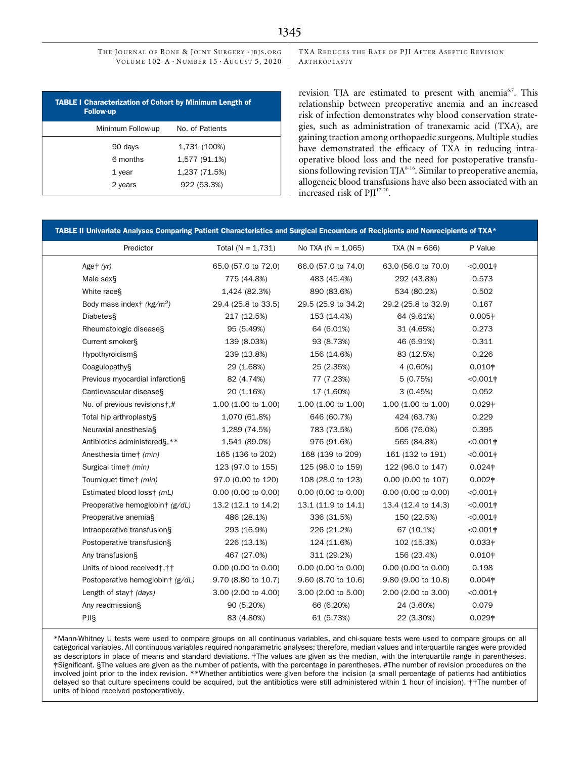TXA REDUCES THE RATE OF PJI AFTER ASEPTIC REVISION ARTHROPLASTY

| <b>TABLE I Characterization of Cohort by Minimum Length of</b><br><b>Follow-up</b> |                 |  |  |  |
|------------------------------------------------------------------------------------|-----------------|--|--|--|
| Minimum Follow-up                                                                  | No. of Patients |  |  |  |
| 90 days                                                                            | 1,731 (100%)    |  |  |  |
| 6 months                                                                           | 1,577 (91.1%)   |  |  |  |
| 1 year                                                                             | 1,237 (71.5%)   |  |  |  |
| 2 years                                                                            | 922 (53.3%)     |  |  |  |

revision TJA are estimated to present with anemia<sup>6,7</sup>. This relationship between preoperative anemia and an increased risk of infection demonstrates why blood conservation strategies, such as administration of tranexamic acid (TXA), are gaining traction among orthopaedic surgeons. Multiple studies have demonstrated the efficacy of TXA in reducing intraoperative blood loss and the need for postoperative transfusions following revision TJA<sup>8-16</sup>. Similar to preoperative anemia, allogeneic blood transfusions have also been associated with an increased risk of PJI<sup>17-20</sup>.

| Predictor                             | Total $(N = 1,731)$   | No TXA ( $N = 1,065$ ) | $TXA (N = 666)$     | P Value            |
|---------------------------------------|-----------------------|------------------------|---------------------|--------------------|
| Aget $(yr)$                           | 65.0 (57.0 to 72.0)   | 66.0 (57.0 to 74.0)    | 63.0 (56.0 to 70.0) | $< 0.001$ †        |
| Male sex§                             | 775 (44.8%)           | 483 (45.4%)            | 292 (43.8%)         | 0.573              |
| White race <sub>S</sub>               | 1,424 (82.3%)         | 890 (83.6%)            | 534 (80.2%)         | 0.502              |
| Body mass index† (kg/m <sup>2</sup> ) | 29.4 (25.8 to 33.5)   | 29.5 (25.9 to 34.2)    | 29.2 (25.8 to 32.9) | 0.167              |
| Diabetes                              | 217 (12.5%)           | 153 (14.4%)            | 64 (9.61%)          | 0.005 <sup>†</sup> |
| Rheumatologic disease§                | 95 (5.49%)            | 64 (6.01%)             | 31 (4.65%)          | 0.273              |
| Current smoker§                       | 139 (8.03%)           | 93 (8.73%)             | 46 (6.91%)          | 0.311              |
| Hypothyroidism§                       | 239 (13.8%)           | 156 (14.6%)            | 83 (12.5%)          | 0.226              |
| Coagulopathy§                         | 29 (1.68%)            | 25 (2.35%)             | 4 (0.60%)           | $0.010*$           |
| Previous myocardial infarction§       | 82 (4.74%)            | 77 (7.23%)             | 5(0.75%)            | $< 0.001$ †        |
| Cardiovascular disease§               | 20 (1.16%)            | 17 (1.60%)             | 3(0.45%)            | 0.052              |
| No. of previous revisions†,#          | $1.00$ (1.00 to 1.00) | 1.00 (1.00 to 1.00)    | 1.00 (1.00 to 1.00) | 0.029 <sup>†</sup> |
| Total hip arthroplasty§               | 1,070 (61.8%)         | 646 (60.7%)            | 424 (63.7%)         | 0.229              |
| Neuraxial anesthesia§                 | 1,289 (74.5%)         | 783 (73.5%)            | 506 (76.0%)         | 0.395              |
| Antibiotics administered§,**          | 1,541 (89.0%)         | 976 (91.6%)            | 565 (84.8%)         | $< 0.001$ †        |
| Anesthesia time† (min)                | 165 (136 to 202)      | 168 (139 to 209)       | 161 (132 to 191)    | $<0.001$ †         |
| Surgical time <sup>+</sup> (min)      | 123 (97.0 to 155)     | 125 (98.0 to 159)      | 122 (96.0 to 147)   | $0.024*$           |
| Tourniquet time+ (min)                | 97.0 (0.00 to 120)    | 108 (28.0 to 123)      | 0.00 (0.00 to 107)  | $0.002*$           |
| Estimated blood loss+ (mL)            | $0.00$ (0.00 to 0.00) | 0.00 (0.00 to 0.00)    | 0.00 (0.00 to 0.00) | $<0.001$ †         |
| Preoperative hemoglobin† (g/dL)       | 13.2 (12.1 to 14.2)   | 13.1 (11.9 to 14.1)    | 13.4 (12.4 to 14.3) | $< 0.001$ †        |
| Preoperative anemia§                  | 486 (28.1%)           | 336 (31.5%)            | 150 (22.5%)         | $<0.001$ †         |
| Intraoperative transfusion§           | 293 (16.9%)           | 226 (21.2%)            | 67 (10.1%)          | $<0.001$ †         |
| Postoperative transfusion§            | 226 (13.1%)           | 124 (11.6%)            | 102 (15.3%)         | $0.033*$           |
| Any transfusion§                      | 467 (27.0%)           | 311 (29.2%)            | 156 (23.4%)         | $0.010*$           |
| Units of blood received†, † †         | $0.00$ (0.00 to 0.00) | $0.00$ (0.00 to 0.00)  | 0.00 (0.00 to 0.00) | 0.198              |
| Postoperative hemoglobin† (g/dL)      | 9.70 (8.80 to 10.7)   | 9.60 (8.70 to 10.6)    | 9.80 (9.00 to 10.8) | $0.004*$           |
| Length of stay† (days)                | 3.00 (2.00 to 4.00)   | 3.00 (2.00 to 5.00)    | 2.00 (2.00 to 3.00) | $< 0.001$ †        |
| Any readmission§                      | 90 (5.20%)            | 66 (6.20%)             | 24 (3.60%)          | 0.079              |
| PJIS                                  | 83 (4.80%)            | 61 (5.73%)             | 22 (3.30%)          | 0.029#             |

\*Mann-Whitney U tests were used to compare groups on all continuous variables, and chi-square tests were used to compare groups on all categorical variables. All continuous variables required nonparametric analyses; therefore, median values and interquartile ranges were provided as descriptors in place of means and standard deviations. †The values are given as the median, with the interquartile range in parentheses. ‡Significant. §The values are given as the number of patients, with the percentage in parentheses. #The number of revision procedures on the involved joint prior to the index revision. \*\*Whether antibiotics were given before the incision (a small percentage of patients had antibiotics delayed so that culture specimens could be acquired, but the antibiotics were still administered within 1 hour of incision). ††The number of units of blood received postoperatively.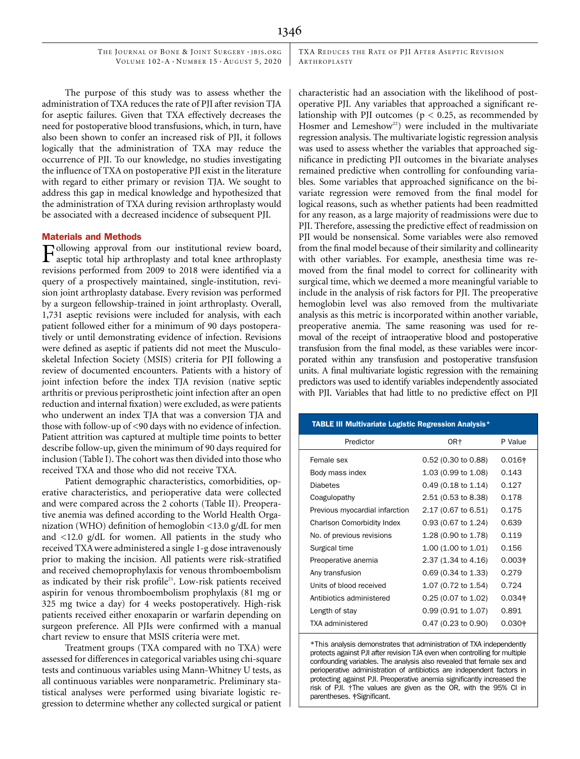TXA REDUCES THE RATE OF PJI AFTER ASEPTIC REVISION ARTHROPLASTY

The purpose of this study was to assess whether the administration of TXA reduces the rate of PJI after revision TJA for aseptic failures. Given that TXA effectively decreases the need for postoperative blood transfusions, which, in turn, have also been shown to confer an increased risk of PJI, it follows logically that the administration of TXA may reduce the occurrence of PJI. To our knowledge, no studies investigating the influence of TXA on postoperative PJI exist in the literature with regard to either primary or revision TJA. We sought to address this gap in medical knowledge and hypothesized that the administration of TXA during revision arthroplasty would be associated with a decreased incidence of subsequent PJI.

## Materials and Methods

Following approval from our institutional review board, aseptic total hip arthroplasty and total knee arthroplasty revisions performed from 2009 to 2018 were identified via a query of a prospectively maintained, single-institution, revision joint arthroplasty database. Every revision was performed by a surgeon fellowship-trained in joint arthroplasty. Overall, 1,731 aseptic revisions were included for analysis, with each patient followed either for a minimum of 90 days postoperatively or until demonstrating evidence of infection. Revisions were defined as aseptic if patients did not meet the Musculoskeletal Infection Society (MSIS) criteria for PJI following a review of documented encounters. Patients with a history of joint infection before the index TJA revision (native septic arthritis or previous periprosthetic joint infection after an open reduction and internal fixation) were excluded, as were patients who underwent an index TJA that was a conversion TJA and those with follow-up of <90 days with no evidence of infection. Patient attrition was captured at multiple time points to better describe follow-up, given the minimum of 90 days required for inclusion (Table I). The cohort was then divided into those who received TXA and those who did not receive TXA.

Patient demographic characteristics, comorbidities, operative characteristics, and perioperative data were collected and were compared across the 2 cohorts (Table II). Preoperative anemia was defined according to the World Health Organization (WHO) definition of hemoglobin <13.0 g/dL for men and <12.0 g/dL for women. All patients in the study who received TXAwere administered a single 1-g dose intravenously prior to making the incision. All patients were risk-stratified and received chemoprophylaxis for venous thromboembolism as indicated by their risk profile<sup>21</sup>. Low-risk patients received aspirin for venous thromboembolism prophylaxis (81 mg or 325 mg twice a day) for 4 weeks postoperatively. High-risk patients received either enoxaparin or warfarin depending on surgeon preference. All PJIs were confirmed with a manual chart review to ensure that MSIS criteria were met.

Treatment groups (TXA compared with no TXA) were assessed for differences in categorical variables using chi-square tests and continuous variables using Mann-Whitney U tests, as all continuous variables were nonparametric. Preliminary statistical analyses were performed using bivariate logistic regression to determine whether any collected surgical or patient characteristic had an association with the likelihood of postoperative PJI. Any variables that approached a significant relationship with PJI outcomes ( $p < 0.25$ , as recommended by Hosmer and Lemeshow<sup>22</sup>) were included in the multivariate regression analysis. The multivariate logistic regression analysis was used to assess whether the variables that approached significance in predicting PJI outcomes in the bivariate analyses remained predictive when controlling for confounding variables. Some variables that approached significance on the bivariate regression were removed from the final model for logical reasons, such as whether patients had been readmitted for any reason, as a large majority of readmissions were due to PJI. Therefore, assessing the predictive effect of readmission on PJI would be nonsensical. Some variables were also removed from the final model because of their similarity and collinearity with other variables. For example, anesthesia time was removed from the final model to correct for collinearity with surgical time, which we deemed a more meaningful variable to include in the analysis of risk factors for PJI. The preoperative hemoglobin level was also removed from the multivariate analysis as this metric is incorporated within another variable, preoperative anemia. The same reasoning was used for removal of the receipt of intraoperative blood and postoperative transfusion from the final model, as these variables were incorporated within any transfusion and postoperative transfusion units. A final multivariate logistic regression with the remaining predictors was used to identify variables independently associated with PJI. Variables that had little to no predictive effect on PJI

| <b>TABLE III Multivariate Logistic Regression Analysis*</b> |                               |          |  |  |  |
|-------------------------------------------------------------|-------------------------------|----------|--|--|--|
| Predictor                                                   | OR†                           | P Value  |  |  |  |
| Female sex                                                  | 0.52 (0.30 to 0.88)           | $0.016+$ |  |  |  |
| Body mass index                                             | 1.03 (0.99 to 1.08)           | 0.143    |  |  |  |
| Diabetes                                                    | $0.49(0.18 \text{ to } 1.14)$ | 0.127    |  |  |  |
| Coagulopathy                                                | 2.51 (0.53 to 8.38)           | 0.178    |  |  |  |
| Previous myocardial infarction                              | 2.17 (0.67 to 6.51)           | 0.175    |  |  |  |
| Charlson Comorbidity Index                                  | $0.93(0.67 \text{ to } 1.24)$ | 0.639    |  |  |  |
| No. of previous revisions                                   | 1.28 (0.90 to 1.78)           | 0.119    |  |  |  |
| Surgical time                                               | 1.00 (1.00 to 1.01)           | 0.156    |  |  |  |
| Preoperative anemia                                         | 2.37 (1.34 to 4.16)           | $0.003*$ |  |  |  |
| Any transfusion                                             | $0.69(0.34 \text{ to } 1.33)$ | 0.279    |  |  |  |
| Units of blood received                                     | 1.07 (0.72 to 1.54)           | 0.724    |  |  |  |
| Antibiotics administered                                    | $0.25(0.07)$ to 1.02)         | $0.034*$ |  |  |  |
| Length of stay                                              | $0.99(0.91 \text{ to } 1.07)$ | 0.891    |  |  |  |
| TXA administered                                            | 0.47 (0.23 to 0.90)           | $0.030*$ |  |  |  |

\*This analysis demonstrates that administration of TXA independently protects against PJI after revision TJA even when controlling for multiple confounding variables. The analysis also revealed that female sex and perioperative administration of antibiotics are independent factors in protecting against PJI. Preoperative anemia significantly increased the risk of PJI. †The values are given as the OR, with the 95% CI in parentheses. ‡Significant.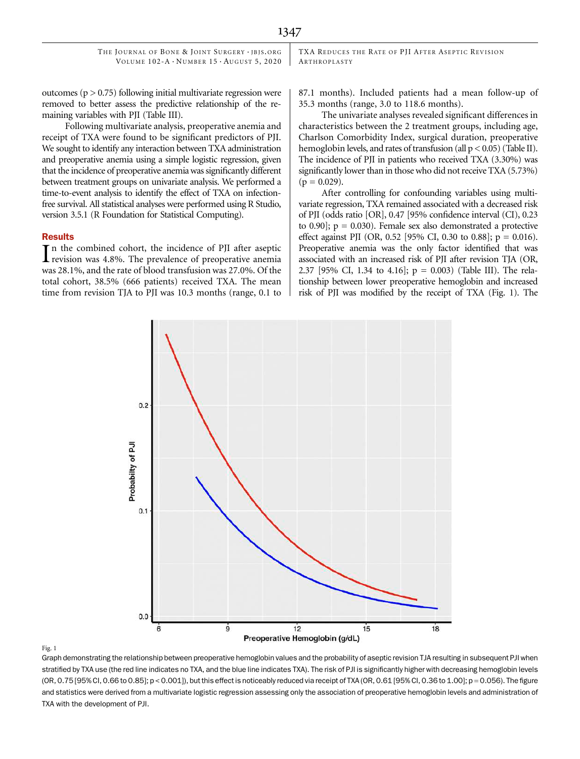TXA REDUCES THE RATE OF PJI AFTER ASEPTIC REVISION ARTHROPLASTY

outcomes ( $p > 0.75$ ) following initial multivariate regression were removed to better assess the predictive relationship of the remaining variables with PJI (Table III).

Following multivariate analysis, preoperative anemia and receipt of TXA were found to be significant predictors of PJI. We sought to identify any interaction between TXA administration and preoperative anemia using a simple logistic regression, given that the incidence of preoperative anemia was significantly different between treatment groups on univariate analysis. We performed a time-to-event analysis to identify the effect of TXA on infectionfree survival. All statistical analyses were performed using R Studio, version 3.5.1 (R Foundation for Statistical Computing).

#### **Results**

In the combined cohort, the incidence of PJI after aseptic<br>revision was 4.8%. The prevalence of preoperative anemia revision was 4.8%. The prevalence of preoperative anemia was 28.1%, and the rate of blood transfusion was 27.0%. Of the total cohort, 38.5% (666 patients) received TXA. The mean time from revision TJA to PJI was 10.3 months (range, 0.1 to 87.1 months). Included patients had a mean follow-up of 35.3 months (range, 3.0 to 118.6 months).

The univariate analyses revealed significant differences in characteristics between the 2 treatment groups, including age, Charlson Comorbidity Index, surgical duration, preoperative hemoglobin levels, and rates of transfusion (all  $p < 0.05$ ) (Table II). The incidence of PJI in patients who received TXA (3.30%) was significantly lower than in those who did not receive TXA (5.73%)  $(p = 0.029)$ .

After controlling for confounding variables using multivariate regression, TXA remained associated with a decreased risk of PJI (odds ratio [OR], 0.47 [95% confidence interval (CI), 0.23 to  $0.90$ ];  $p = 0.030$ ). Female sex also demonstrated a protective effect against PJI (OR, 0.52 [95% CI, 0.30 to 0.88];  $p = 0.016$ ). Preoperative anemia was the only factor identified that was associated with an increased risk of PJI after revision TJA (OR, 2.37 [95% CI, 1.34 to 4.16];  $p = 0.003$  (Table III). The relationship between lower preoperative hemoglobin and increased risk of PJI was modified by the receipt of TXA (Fig. 1). The



#### Fig. 1

Graph demonstrating the relationship between preoperative hemoglobin values and the probability of aseptic revision TJA resulting in subsequent PJI when stratified by TXA use (the red line indicates no TXA, and the blue line indicates TXA). The risk of PJI is significantly higher with decreasing hemoglobin levels  $(OR, 0.75 [95\% CI, 0.66 to 0.85]; p < 0.001]$ ), but this effect is noticeably reduced via receipt of TXA  $(OR, 0.61 [95\% CI, 0.36 to 1.00]; p = 0.056)$ . The figure and statistics were derived from a multivariate logistic regression assessing only the association of preoperative hemoglobin levels and administration of TXA with the development of PJI.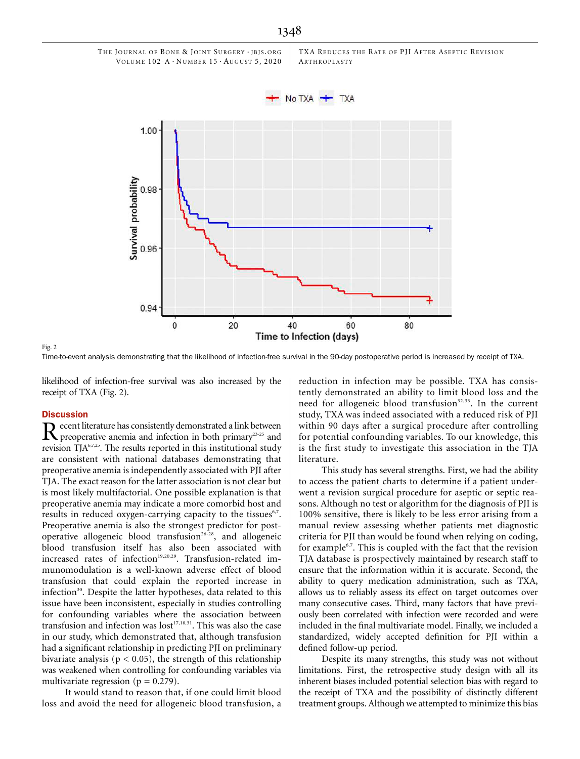

Fig. 2

Time-to-event analysis demonstrating that the likelihood of infection-free survival in the 90-day postoperative period is increased by receipt of TXA.

40

Time to Infection (days)

60

20

likelihood of infection-free survival was also increased by the receipt of TXA (Fig. 2).

0

0.98

0.96

0.94

# **Discussion**

 $\mathbf R$  preoperative anemia and infection in both primary<sup>23-25</sup> and  $\mathbb R^{16,725}$   $\mathbb R^{16,725}$ revision  $TJA<sub>6,7,25</sub>$ . The results reported in this institutional study are consistent with national databases demonstrating that preoperative anemia is independently associated with PJI after TJA. The exact reason for the latter association is not clear but is most likely multifactorial. One possible explanation is that preoperative anemia may indicate a more comorbid host and results in reduced oxygen-carrying capacity to the tissues<sup>6,7</sup>. Preoperative anemia is also the strongest predictor for postoperative allogeneic blood transfusion<sup>26-28</sup>, and allogeneic blood transfusion itself has also been associated with increased rates of infection<sup>19,20,29</sup>. Transfusion-related immunomodulation is a well-known adverse effect of blood transfusion that could explain the reported increase in infection<sup>30</sup>. Despite the latter hypotheses, data related to this issue have been inconsistent, especially in studies controlling for confounding variables where the association between transfusion and infection was lost<sup>17,18,31</sup>. This was also the case in our study, which demonstrated that, although transfusion had a significant relationship in predicting PJI on preliminary bivariate analysis ( $p < 0.05$ ), the strength of this relationship was weakened when controlling for confounding variables via multivariate regression ( $p = 0.279$ ).

It would stand to reason that, if one could limit blood loss and avoid the need for allogeneic blood transfusion, a reduction in infection may be possible. TXA has consistently demonstrated an ability to limit blood loss and the need for allogeneic blood transfusion<sup>32,33</sup>. In the current study, TXA was indeed associated with a reduced risk of PJI within 90 days after a surgical procedure after controlling for potential confounding variables. To our knowledge, this is the first study to investigate this association in the TJA literature.

80

This study has several strengths. First, we had the ability to access the patient charts to determine if a patient underwent a revision surgical procedure for aseptic or septic reasons. Although no test or algorithm for the diagnosis of PJI is 100% sensitive, there is likely to be less error arising from a manual review assessing whether patients met diagnostic criteria for PJI than would be found when relying on coding, for example<sup>6,7</sup>. This is coupled with the fact that the revision TJA database is prospectively maintained by research staff to ensure that the information within it is accurate. Second, the ability to query medication administration, such as TXA, allows us to reliably assess its effect on target outcomes over many consecutive cases. Third, many factors that have previously been correlated with infection were recorded and were included in the final multivariate model. Finally, we included a standardized, widely accepted definition for PJI within a defined follow-up period.

Despite its many strengths, this study was not without limitations. First, the retrospective study design with all its inherent biases included potential selection bias with regard to the receipt of TXA and the possibility of distinctly different treatment groups. Although we attempted to minimize this bias

# 1348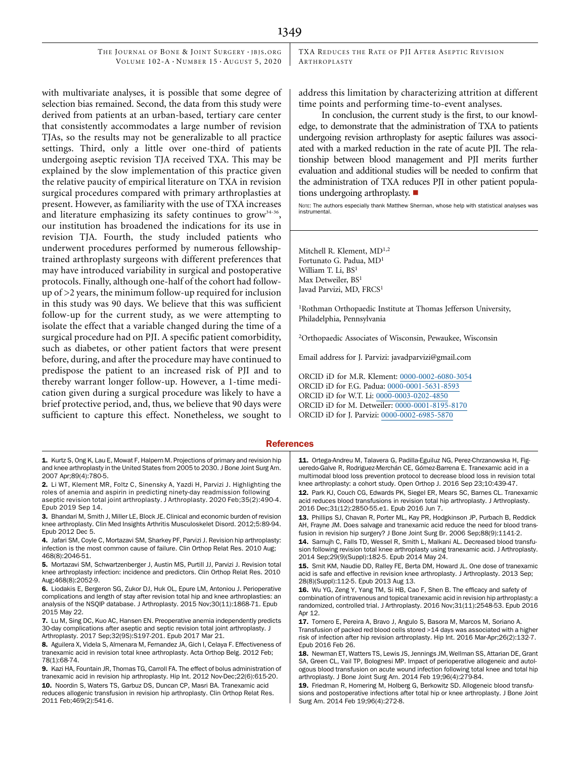TXA REDUCES THE RATE OF PJI AFTER ASEPTIC REVISION ARTHROPLASTY

with multivariate analyses, it is possible that some degree of selection bias remained. Second, the data from this study were derived from patients at an urban-based, tertiary care center that consistently accommodates a large number of revision TJAs, so the results may not be generalizable to all practice settings. Third, only a little over one-third of patients undergoing aseptic revision TJA received TXA. This may be explained by the slow implementation of this practice given the relative paucity of empirical literature on TXA in revision surgical procedures compared with primary arthroplasties at present. However, as familiarity with the use of TXA increases and literature emphasizing its safety continues to grow<sup>34-36</sup>, our institution has broadened the indications for its use in revision TJA. Fourth, the study included patients who underwent procedures performed by numerous fellowshiptrained arthroplasty surgeons with different preferences that may have introduced variability in surgical and postoperative protocols. Finally, although one-half of the cohort had followup of >2 years, the minimum follow-up required for inclusion in this study was 90 days. We believe that this was sufficient follow-up for the current study, as we were attempting to isolate the effect that a variable changed during the time of a surgical procedure had on PJI. A specific patient comorbidity, such as diabetes, or other patient factors that were present before, during, and after the procedure may have continued to predispose the patient to an increased risk of PJI and to thereby warrant longer follow-up. However, a 1-time medication given during a surgical procedure was likely to have a brief protective period, and, thus, we believe that 90 days were sufficient to capture this effect. Nonetheless, we sought to

1. Kurtz S, Ong K, Lau E, Mowat F, Halpern M. Projections of primary and revision hip and knee arthroplasty in the United States from 2005 to 2030. J Bone Joint Surg Am. 2007 Apr;89(4):780-5.

- 2. Li WT, Klement MR, Foltz C, Sinensky A, Yazdi H, Parvizi J. Highlighting the roles of anemia and aspirin in predicting ninety-day readmission following aseptic revision total joint arthroplasty. J Arthroplasty. 2020 Feb;35(2):490-4. Epub 2019 Sep 14.
- 3. Bhandari M, Smith J, Miller LE, Block JE. Clinical and economic burden of revision knee arthroplasty. Clin Med Insights Arthritis Musculoskelet Disord. 2012;5:89-94. Epub 2012 Dec 5.

4. Jafari SM, Coyle C, Mortazavi SM, Sharkey PF, Parvizi J. Revision hip arthroplasty: infection is the most common cause of failure. Clin Orthop Relat Res. 2010 Aug; 468(8):2046-51.

5. Mortazavi SM, Schwartzenberger J, Austin MS, Purtill JJ, Parvizi J. Revision total knee arthroplasty infection: incidence and predictors. Clin Orthop Relat Res. 2010 Aug;468(8):2052-9.

6. Liodakis E, Bergeron SG, Zukor DJ, Huk OL, Epure LM, Antoniou J. Perioperative complications and length of stay after revision total hip and knee arthroplasties: an analysis of the NSQIP database. J Arthroplasty. 2015 Nov;30(11):1868-71. Epub 2015 May 22.

7. Lu M, Sing DC, Kuo AC, Hansen EN. Preoperative anemia independently predicts 30-day complications after aseptic and septic revision total joint arthroplasty. J Arthroplasty. 2017 Sep;32(9S):S197-201. Epub 2017 Mar 21.

8. Aguilera X, Videla S, Almenara M, Fernandez JA, Gich I, Celaya F. Effectiveness of tranexamic acid in revision total knee arthroplasty. Acta Orthop Belg. 2012 Feb; 78(1):68-74.

9. Kazi HA, Fountain JR, Thomas TG, Carroll FA. The effect of bolus administration of tranexamic acid in revision hip arthroplasty. Hip Int. 2012 Nov-Dec;22(6):615-20. 10. Noordin S, Waters TS, Garbuz DS, Duncan CP, Masri BA. Tranexamic acid reduces allogenic transfusion in revision hip arthroplasty. Clin Orthop Relat Res. 2011 Feb;469(2):541-6.

address this limitation by characterizing attrition at different time points and performing time-to-event analyses.

In conclusion, the current study is the first, to our knowledge, to demonstrate that the administration of TXA to patients undergoing revision arthroplasty for aseptic failures was associated with a marked reduction in the rate of acute PJI. The relationship between blood management and PJI merits further evaluation and additional studies will be needed to confirm that the administration of TXA reduces PJI in other patient populations undergoing arthroplasty.  $\blacksquare$ 

NOTE: The authors especially thank Matthew Sherman, whose help with statistical analyses was instrumental.

Mitchell R. Klement, MD1,2 Fortunato G. Padua, MD<sup>1</sup> William T. Li, BS<sup>1</sup> Max Detweiler, BS<sup>1</sup> Javad Parvizi, MD, FRCS<sup>1</sup>

<sup>1</sup>Rothman Orthopaedic Institute at Thomas Jefferson University, Philadelphia, Pennsylvania

2Orthopaedic Associates of Wisconsin, Pewaukee, Wisconsin

Email address for J. Parvizi: [javadparvizi@gmail.com](mailto:javadparvizi@gmail.com)

ORCID iD for M.R. Klement: [0000-0002-6080-3054](http://orcid.org/0000-0002-6080-3054) ORCID iD for F.G. Padua: [0000-0001-5631-8593](http://orcid.org/0000-0001-5631-8593) ORCID iD for W.T. Li: [0000-0003-0202-4850](http://orcid.org/0000-0003-0202-4850) ORCID iD for M. Detweiler: [0000-0001-8195-8170](http://orcid.org/0000-0001-8195-8170) ORCID iD for J. Parvizi: [0000-0002-6985-5870](http://orcid.org/0000-0002-6985-5870)

### **References**

11. Ortega-Andreu M, Talavera G, Padilla-Eguiluz NG, Perez-Chrzanowska H, Figueredo-Galve R, Rodriguez-Merchán CE, Gómez-Barrena E. Tranexamic acid in a multimodal blood loss prevention protocol to decrease blood loss in revision total knee arthroplasty: a cohort study. Open Orthop J. 2016 Sep 23;10:439-47.

12. Park KJ, Couch CG, Edwards PK, Siegel ER, Mears SC, Barnes CL. Tranexamic acid reduces blood transfusions in revision total hip arthroplasty. J Arthroplasty. 2016 Dec;31(12):2850-55.e1. Epub 2016 Jun 7.

13. Phillips SJ, Chavan R, Porter ML, Kay PR, Hodgkinson JP, Purbach B, Reddick AH, Frayne JM. Does salvage and tranexamic acid reduce the need for blood transfusion in revision hip surgery? J Bone Joint Surg Br. 2006 Sep;88(9):1141-2.

14. Samujh C, Falls TD, Wessel R, Smith L, Malkani AL. Decreased blood transfusion following revision total knee arthroplasty using tranexamic acid. J Arthroplasty. 2014 Sep;29(9)(Suppl):182-5. Epub 2014 May 24.

15. Smit KM, Naudie DD, Ralley FE, Berta DM, Howard JL. One dose of tranexamic acid is safe and effective in revision knee arthroplasty. J Arthroplasty. 2013 Sep; 28(8)(Suppl):112-5. Epub 2013 Aug 13.

16. Wu YG, Zeng Y, Yang TM, Si HB, Cao F, Shen B. The efficacy and safety of combination of intravenous and topical tranexamic acid in revision hip arthroplasty: a randomized, controlled trial. J Arthroplasty. 2016 Nov;31(11):2548-53. Epub 2016 Apr 12.

17. Tornero E, Pereira A, Bravo J, Angulo S, Basora M, Marcos M, Soriano A. Transfusion of packed red blood cells stored >14 days was associated with a higher risk of infection after hip revision arthroplasty. Hip Int. 2016 Mar-Apr;26(2):132-7. Epub 2016 Feb 26.

18. Newman ET, Watters TS, Lewis JS, Jennings JM, Wellman SS, Attarian DE, Grant SA, Green CL, Vail TP, Bolognesi MP. Impact of perioperative allogeneic and autologous blood transfusion on acute wound infection following total knee and total hip arthroplasty. J Bone Joint Surg Am. 2014 Feb 19;96(4):279-84.

19. Friedman R, Homering M, Holberg G, Berkowitz SD. Allogeneic blood transfusions and postoperative infections after total hip or knee arthroplasty. J Bone Joint Surg Am. 2014 Feb 19;96(4):272-8.